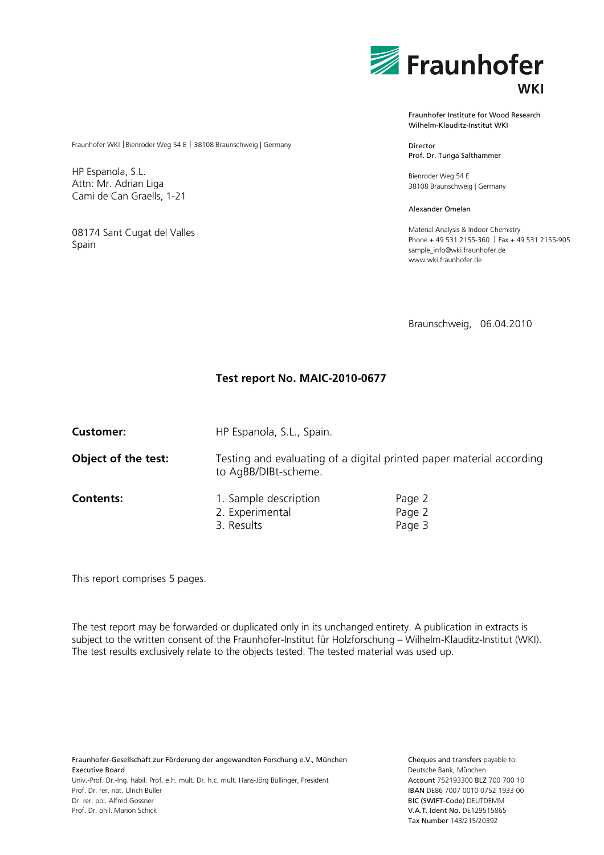

Fraunhofer Institute for Wood Research Wilhelm-Klauditz-Institut WKI

Director Prof. Dr. Tunga Salthammer

Bienroder Weg 54 E 38108 Braunschweig | Germany

Alexander Omelan

Material Analysis & Indoor Chemistry Phone + 49 531 2155-360 | Fax + 49 531 2155-905 sample\_info@wki.fraunhofer.de www.wki.fraunhofer.de

Braunschweig, 06.04.2010

## **Test report No. MAIC-2010-0677**

| <b>Customer:</b>    | HP Espanola, S.L., Spain.                                                                    |                            |  |  |  |  |  |  |
|---------------------|----------------------------------------------------------------------------------------------|----------------------------|--|--|--|--|--|--|
| Object of the test: | Testing and evaluating of a digital printed paper material according<br>to AgBB/DIBt-scheme. |                            |  |  |  |  |  |  |
| <b>Contents:</b>    | 1. Sample description<br>2. Experimental<br>3. Results                                       | Page 2<br>Page 2<br>Page 3 |  |  |  |  |  |  |

This report comprises 5 pages.

The test report may be forwarded or duplicated only in its unchanged entirety. A publication in extracts is subject to the written consent of the Fraunhofer-Institut für Holzforschung – Wilhelm-Klauditz-Institut (WKI). The test results exclusively relate to the objects tested. The tested material was used up.

Fraunhofer-Gesellschaft zur Förderung der angewandten Forschung e.V., München Executive Board Univ.-Prof. Dr.-Ing. habil. Prof. e.h. mult. Dr. h.c. mult. Hans-Jörg Bullinger, President Prof. Dr. rer. nat. Ulrich Buller Dr. rer. pol. Alfred Gossner Prof. Dr. phil. Marion Schick

Cheques and transfers payable to: Deutsche Bank, München Account 752193300 BLZ 700 700 10 IBAN DE86 7007 0010 0752 1933 00 BIC (SWIFT-Code) DEUTDEMM V.A.T. Ident No. DE129515865 Tax Number 143/215/20392

#### Fraunhofer WKI | Bienroder Weg 54 E | 38108 Braunschweig | Germany

HP Espanola, S.L. Attn: Mr. Adrian Liga Cami de Can Graells, 1-21

08174 Sant Cugat del Valles Spain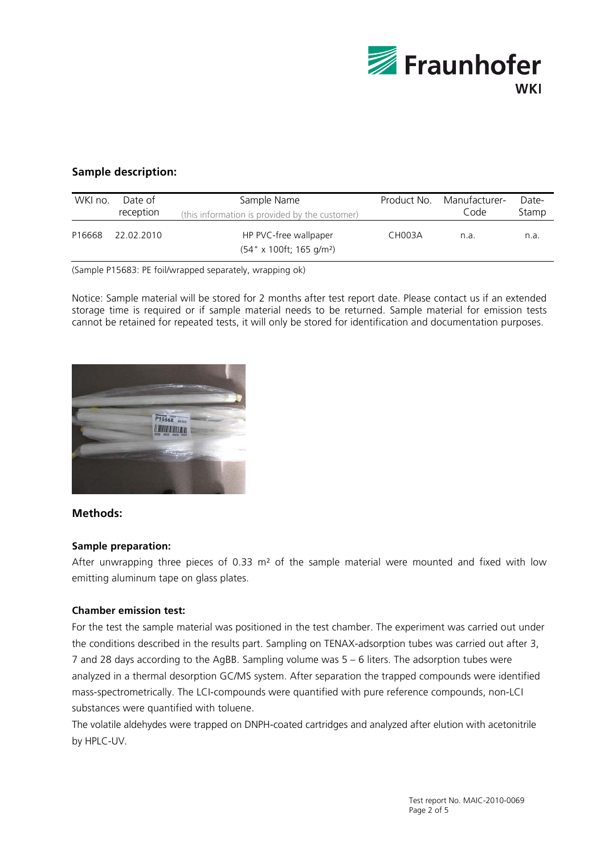

# **Sample description:**

| WKI no. | Date of<br>reception | Sample Name<br>(this information is provided by the customer)         | Product No. | Manufacturer-<br>Code | Date-<br>Stamp |
|---------|----------------------|-----------------------------------------------------------------------|-------------|-----------------------|----------------|
| P16668  | 22.02.2010           | HP PVC-free wallpaper<br>$(54" \times 100$ ft; 165 g/m <sup>2</sup> ) | CH003A      | n.a.                  | n.a.           |

(Sample P15683: PE foil/wrapped separately, wrapping ok)

Notice: Sample material will be stored for 2 months after test report date. Please contact us if an extended storage time is required or if sample material needs to be returned. Sample material for emission tests cannot be retained for repeated tests, it will only be stored for identification and documentation purposes.



### **Methods:**

### **Sample preparation:**

After unwrapping three pieces of 0.33 m<sup>2</sup> of the sample material were mounted and fixed with low emitting aluminum tape on glass plates.

## **Chamber emission test:**

For the test the sample material was positioned in the test chamber. The experiment was carried out under the conditions described in the results part. Sampling on TENAX-adsorption tubes was carried out after 3, 7 and 28 days according to the AgBB. Sampling volume was 5 – 6 liters. The adsorption tubes were analyzed in a thermal desorption GC/MS system. After separation the trapped compounds were identified mass-spectrometrically. The LCI-compounds were quantified with pure reference compounds, non-LCI substances were quantified with toluene.

The volatile aldehydes were trapped on DNPH-coated cartridges and analyzed after elution with acetonitrile by HPLC-UV.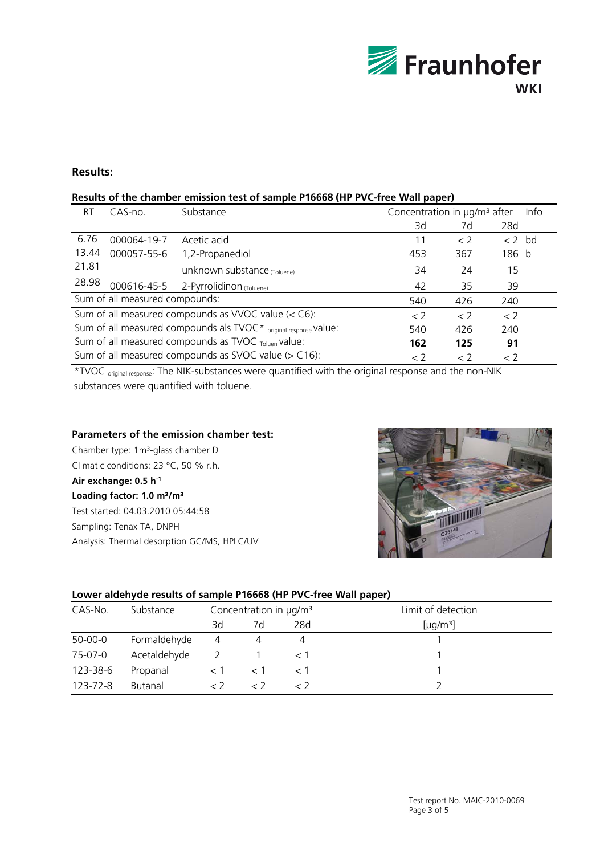

## **Results:**

### **Results of the chamber emission test of sample P16668 (HP PVC-free Wall paper)**

| RT                                                                                                                                                                                                                                                                      | $CAS-no.$   | Concentration in µg/m <sup>3</sup> after<br>Substance |     |             |     | Info |  |
|-------------------------------------------------------------------------------------------------------------------------------------------------------------------------------------------------------------------------------------------------------------------------|-------------|-------------------------------------------------------|-----|-------------|-----|------|--|
|                                                                                                                                                                                                                                                                         |             |                                                       | 3d  | 7d          | 28d |      |  |
| 6.76                                                                                                                                                                                                                                                                    | 000064-19-7 | Acetic acid                                           | 11  | $\langle$ 2 |     |      |  |
| 13.44                                                                                                                                                                                                                                                                   | 000057-55-6 | 1,2-Propanediol                                       | 453 | 367         |     |      |  |
| 21.81                                                                                                                                                                                                                                                                   |             | unknown substance (Toluene)                           | 34  | 24          | 15  |      |  |
| 28.98                                                                                                                                                                                                                                                                   | 000616-45-5 | 2-Pyrrolidinon (Toluene)                              | 42  | 35          | 39  |      |  |
|                                                                                                                                                                                                                                                                         |             |                                                       | 540 | 426         | 240 |      |  |
| Sum of all measured compounds as VVOC value (< C6):<br>< 2<br>< 2<br>$\langle$ 2                                                                                                                                                                                        |             |                                                       |     |             |     |      |  |
|                                                                                                                                                                                                                                                                         |             |                                                       | 540 | 426         | 240 |      |  |
|                                                                                                                                                                                                                                                                         |             |                                                       | 162 | 125         | 91  |      |  |
| $< 2$ bd<br>186 b<br>Sum of all measured compounds:<br>Sum of all measured compounds als TVOC* original response Value:<br>Sum of all measured compounds as TVOC Toluen Value:<br>Sum of all measured compounds as SVOC value (> C16):<br>< 2<br>$\lt 2$<br>$\langle$ 2 |             |                                                       |     |             |     |      |  |

\*TVOC original response: The NIK-substances were quantified with the original response and the non-NIK substances were quantified with toluene.

#### **Parameters of the emission chamber test:**

Chamber type: 1m<sup>3</sup>-glass chamber D Climatic conditions: 23 °C, 50 % r.h.

### **Air exchange: 0.5 h-1**

**Loading factor: 1.0 m²/m³**  Test started: 04.03.2010 05:44:58 Sampling: Tenax TA, DNPH Analysis: Thermal desorption GC/MS, HPLC/UV



#### **Lower aldehyde results of sample P16668 (HP PVC-free Wall paper)**

| CAS-No.  | Substance    | Concentration in µg/m <sup>3</sup> |    |     | Limit of detection   |  |  |
|----------|--------------|------------------------------------|----|-----|----------------------|--|--|
|          |              | 3d                                 | 7d | 28d | [µq/m <sup>3</sup> ] |  |  |
| 50-00-0  | Formaldehyde | $\overline{4}$                     |    |     |                      |  |  |
| 75-07-0  | Acetaldehyde |                                    |    |     |                      |  |  |
| 123-38-6 | Propanal     |                                    |    |     |                      |  |  |
| 123-72-8 | Butanal      |                                    |    | ← ノ |                      |  |  |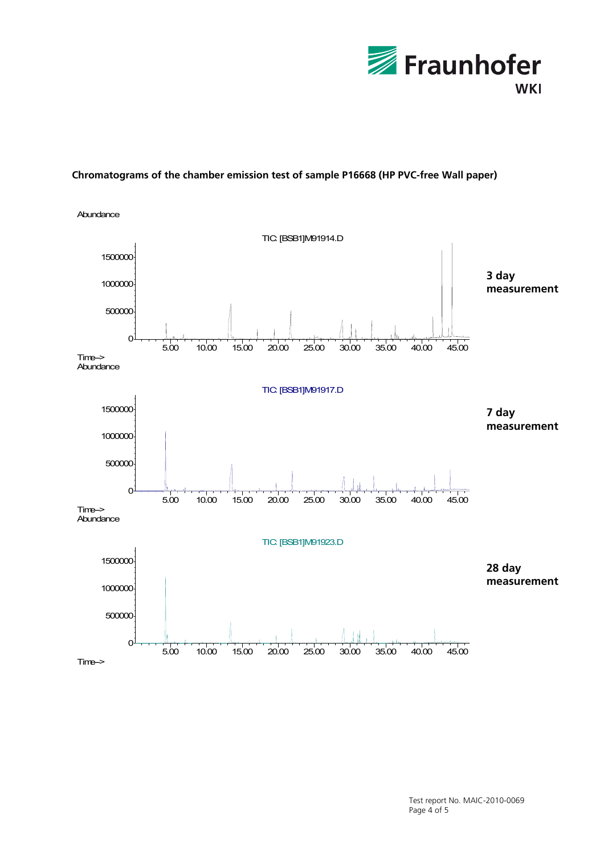

## **Chromatograms of the chamber emission test of sample P16668 (HP PVC-free Wall paper)**